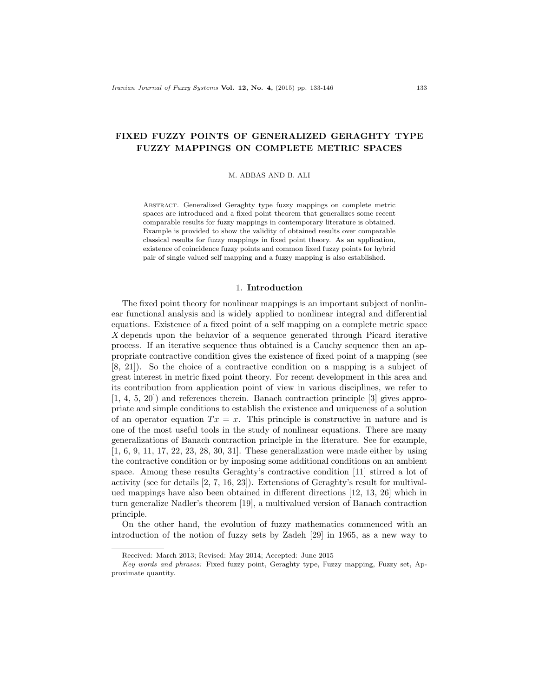# FIXED FUZZY POINTS OF GENERALIZED GERAGHTY TYPE FUZZY MAPPINGS ON COMPLETE METRIC SPACES

M. ABBAS AND B. ALI

Abstract. Generalized Geraghty type fuzzy mappings on complete metric spaces are introduced and a fixed point theorem that generalizes some recent comparable results for fuzzy mappings in contemporary literature is obtained. Example is provided to show the validity of obtained results over comparable classical results for fuzzy mappings in fixed point theory. As an application, existence of coincidence fuzzy points and common fixed fuzzy points for hybrid pair of single valued self mapping and a fuzzy mapping is also established.

#### 1. Introduction

The fixed point theory for nonlinear mappings is an important subject of nonlinear functional analysis and is widely applied to nonlinear integral and differential equations. Existence of a fixed point of a self mapping on a complete metric space X depends upon the behavior of a sequence generated through Picard iterative process. If an iterative sequence thus obtained is a Cauchy sequence then an appropriate contractive condition gives the existence of fixed point of a mapping (see [8, 21]). So the choice of a contractive condition on a mapping is a subject of great interest in metric fixed point theory. For recent development in this area and its contribution from application point of view in various disciplines, we refer to [1, 4, 5, 20]) and references therein. Banach contraction principle [3] gives appropriate and simple conditions to establish the existence and uniqueness of a solution of an operator equation  $Tx = x$ . This principle is constructive in nature and is one of the most useful tools in the study of nonlinear equations. There are many generalizations of Banach contraction principle in the literature. See for example, [1, 6, 9, 11, 17, 22, 23, 28, 30, 31]. These generalization were made either by using the contractive condition or by imposing some additional conditions on an ambient space. Among these results Geraghty's contractive condition [11] stirred a lot of activity (see for details [2, 7, 16, 23]). Extensions of Geraghty's result for multivalued mappings have also been obtained in different directions [12, 13, 26] which in turn generalize Nadler's theorem [19], a multivalued version of Banach contraction principle.

On the other hand, the evolution of fuzzy mathematics commenced with an introduction of the notion of fuzzy sets by Zadeh [29] in 1965, as a new way to

Received: March 2013; Revised: May 2014; Accepted: June 2015

Key words and phrases: Fixed fuzzy point, Geraghty type, Fuzzy mapping, Fuzzy set, Approximate quantity.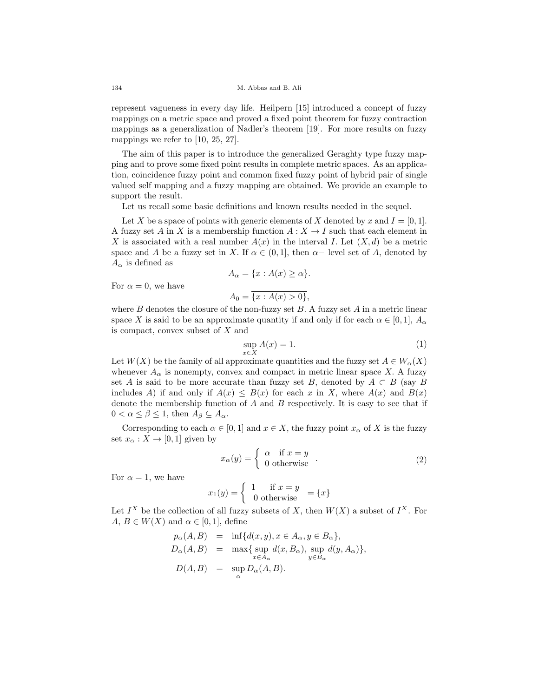represent vagueness in every day life. Heilpern [15] introduced a concept of fuzzy mappings on a metric space and proved a fixed point theorem for fuzzy contraction mappings as a generalization of Nadler's theorem [19]. For more results on fuzzy mappings we refer to [10, 25, 27].

The aim of this paper is to introduce the generalized Geraghty type fuzzy mapping and to prove some fixed point results in complete metric spaces. As an application, coincidence fuzzy point and common fixed fuzzy point of hybrid pair of single valued self mapping and a fuzzy mapping are obtained. We provide an example to support the result.

Let us recall some basic definitions and known results needed in the sequel.

Let X be a space of points with generic elements of X denoted by x and  $I = [0, 1]$ . A fuzzy set A in X is a membership function  $A: X \to I$  such that each element in X is associated with a real number  $A(x)$  in the interval I. Let  $(X, d)$  be a metric space and A be a fuzzy set in X. If  $\alpha \in (0,1]$ , then  $\alpha$ - level set of A, denoted by  $A_{\alpha}$  is defined as

$$
A_{\alpha} = \{x : A(x) \ge \alpha\}.
$$

For  $\alpha = 0$ , we have

$$
A_0 = \overline{\{x : A(x) > 0\}},
$$

where  $\overline{B}$  denotes the closure of the non-fuzzy set B. A fuzzy set A in a metric linear space X is said to be an approximate quantity if and only if for each  $\alpha \in [0,1]$ ,  $A_{\alpha}$ is compact, convex subset of X and

$$
\sup_{x \in X} A(x) = 1.
$$
\n(1)

Let  $W(X)$  be the family of all approximate quantities and the fuzzy set  $A \in W_{\alpha}(X)$ whenever  $A_{\alpha}$  is nonempty, convex and compact in metric linear space X. A fuzzy set A is said to be more accurate than fuzzy set B, denoted by  $A \subset B$  (say B includes A) if and only if  $A(x) \leq B(x)$  for each x in X, where  $A(x)$  and  $B(x)$ denote the membership function of  $A$  and  $B$  respectively. It is easy to see that if  $0 < \alpha \leq \beta \leq 1$ , then  $A_{\beta} \subseteq A_{\alpha}$ .

Corresponding to each  $\alpha \in [0,1]$  and  $x \in X$ , the fuzzy point  $x_{\alpha}$  of X is the fuzzy set  $x_{\alpha}: X \to [0,1]$  given by

$$
x_{\alpha}(y) = \begin{cases} \alpha & \text{if } x = y \\ 0 & \text{otherwise} \end{cases} . \tag{2}
$$

For  $\alpha = 1$ , we have

$$
x_1(y) = \begin{cases} 1 & \text{if } x = y \\ 0 & \text{otherwise} \end{cases} = \{x\}
$$

Let  $I^X$  be the collection of all fuzzy subsets of X, then  $W(X)$  a subset of  $I^X$ . For  $A, B \in W(X)$  and  $\alpha \in [0,1]$ , define

$$
p_{\alpha}(A, B) = \inf \{ d(x, y), x \in A_{\alpha}, y \in B_{\alpha} \},
$$
  
\n
$$
D_{\alpha}(A, B) = \max \{ \sup_{x \in A_{\alpha}} d(x, B_{\alpha}), \sup_{y \in B_{\alpha}} d(y, A_{\alpha}) \},
$$
  
\n
$$
D(A, B) = \sup_{\alpha} D_{\alpha}(A, B).
$$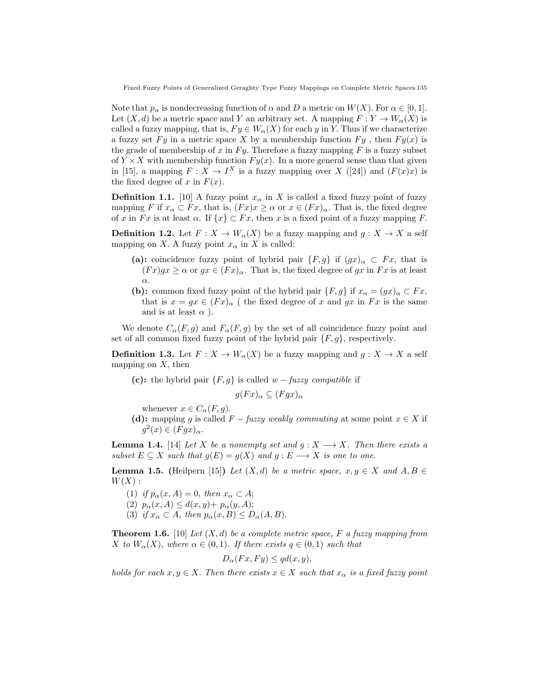Note that  $p_{\alpha}$  is nondecreasing function of  $\alpha$  and D a metric on  $W(X)$ . For  $\alpha \in [0,1]$ . Let  $(X, d)$  be a metric space and Y an arbitrary set. A mapping  $F: Y \to W_{\alpha}(X)$  is called a fuzzy mapping, that is,  $F y \in W_{\alpha}(X)$  for each y in Y. Thus if we characterize a fuzzy set Fy in a metric space X by a membership function  $F_y$ , then  $F_y(x)$  is the grade of membership of x in  $F_y$ . Therefore a fuzzy mapping F is a fuzzy subset of  $Y \times X$  with membership function  $F y(x)$ . In a more general sense than that given in [15], a mapping  $F: X \to I^X$  is a fuzzy mapping over X ([24]) and  $(F(x)x)$  is the fixed degree of x in  $F(x)$ .

**Definition 1.1.** [10] A fuzzy point  $x_{\alpha}$  in X is called a fixed fuzzy point of fuzzy mapping F if  $x_\alpha \subset Fx$ , that is,  $(Fx)x \geq \alpha$  or  $x \in (Fx)_\alpha$ . That is, the fixed degree of x in Fx is at least  $\alpha$ . If  $\{x\} \subset Fx$ , then x is a fixed point of a fuzzy mapping F.

**Definition 1.2.** Let  $F: X \to W_\alpha(X)$  be a fuzzy mapping and  $g: X \to X$  a self mapping on X. A fuzzy point  $x_{\alpha}$  in X is called:

- (a): coincidence fuzzy point of hybrid pair  $\{F, g\}$  if  $(gx)_{\alpha} \subset Fx$ , that is  $(Fx)gx \geq \alpha$  or  $gx \in (Fx)_{\alpha}$ . That is, the fixed degree of gx in Fx is at least α.
- (b): common fixed fuzzy point of the hybrid pair  $\{F, g\}$  if  $x_\alpha = (gx)_\alpha \subset Fx$ , that is  $x = gx \in (Fx)_{\alpha}$  (the fixed degree of x and gx in Fx is the same and is at least  $\alpha$ ).

We denote  $C_{\alpha}(F, g)$  and  $F_{\alpha}(F, g)$  by the set of all coincidence fuzzy point and set of all common fixed fuzzy point of the hybrid pair  $\{F, g\}$ , respectively.

**Definition 1.3.** Let  $F: X \to W_\alpha(X)$  be a fuzzy mapping and  $g: X \to X$  a self mapping on  $X$ , then

(c): the hybrid pair  $\{F, g\}$  is called  $w - fuzzy$  compatible if

$$
g(Fx)_{\alpha} \subseteq (Fgx)_{\alpha}
$$

whenever  $x \in C_{\alpha}(F, g)$ .

(d): mapping g is called  $F$  – fuzzy weakly commuting at some point  $x \in X$  if  $g^2(x) \in (Fgx)_{\alpha}.$ 

**Lemma 1.4.** [14] Let X be a nonempty set and  $g: X \longrightarrow X$ . Then there exists a subset  $E \subseteq X$  such that  $g(E) = g(X)$  and  $g : E \longrightarrow X$  is one to one.

**Lemma 1.5.** (Heilpern [15]) Let  $(X,d)$  be a metric space,  $x, y \in X$  and  $A, B \in$  $W(X):$ 

- (1) if  $p_{\alpha}(x, A) = 0$ , then  $x_{\alpha} \subset A$ ;
- (2)  $p_{\alpha}(x, A) \leq d(x, y) + p_{\alpha}(y, A);$
- (3) if  $x_\alpha \subset A$ , then  $p_\alpha(x, B) \leq D_\alpha(A, B)$ .

**Theorem 1.6.** [10] Let  $(X, d)$  be a complete metric space, F a fuzzy mapping from X to  $W_{\alpha}(X)$ , where  $\alpha \in (0,1)$ . If there exists  $q \in (0,1)$  such that

$$
D_{\alpha}(Fx,Fy) \leq qd(x,y),
$$

holds for each  $x, y \in X$ . Then there exists  $x \in X$  such that  $x_{\alpha}$  is a fixed fuzzy point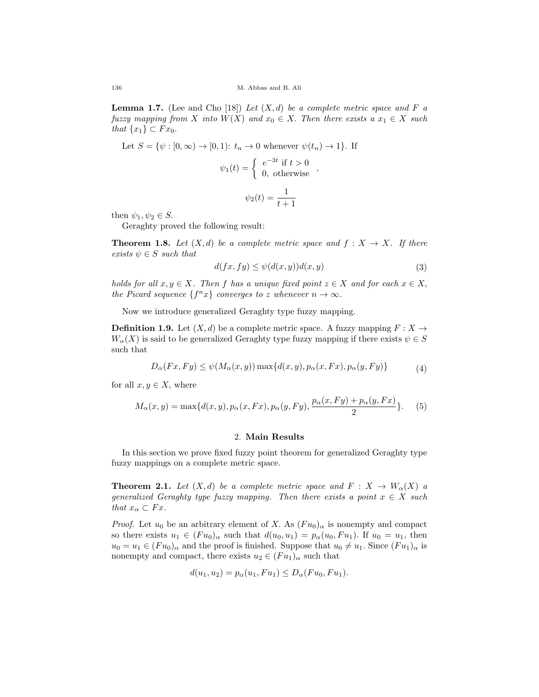**Lemma 1.7.** (Lee and Cho [18]) Let  $(X, d)$  be a complete metric space and F a fuzzy mapping from X into  $W(X)$  and  $x_0 \in X$ . Then there exists a  $x_1 \in X$  such that  $\{x_1\} \subset F x_0$ .

Let 
$$
S = \{ \psi : [0, \infty) \to [0, 1) \colon t_n \to 0 \text{ whenever } \psi(t_n) \to 1 \}.
$$
 If

$$
\psi_1(t) = \begin{cases} e^{-3t} & \text{if } t > 0 \\ 0, & \text{otherwise} \end{cases}
$$

$$
\psi_2(t)=\frac{1}{t+1}
$$

then  $\psi_1, \psi_2 \in S$ .

Geraghty proved the following result:

**Theorem 1.8.** Let  $(X,d)$  be a complete metric space and  $f: X \to X$ . If there exists  $\psi \in S$  such that

$$
d(fx, fy) \le \psi(d(x, y))d(x, y) \tag{3}
$$

holds for all  $x, y \in X$ . Then f has a unique fixed point  $z \in X$  and for each  $x \in X$ , the Picard sequence  $\{f^n x\}$  converges to z whenever  $n \to \infty$ .

Now we introduce generalized Geraghty type fuzzy mapping.

**Definition 1.9.** Let  $(X, d)$  be a complete metric space. A fuzzy mapping  $F : X \to Y$  $W_{\alpha}(X)$  is said to be generalized Geraghty type fuzzy mapping if there exists  $\psi \in S$ such that

$$
D_{\alpha}(Fx, Fy) \leq \psi(M_{\alpha}(x, y)) \max\{d(x, y), p_{\alpha}(x, Fx), p_{\alpha}(y, Fy)\}
$$
(4)

for all  $x, y \in X$ , where

$$
M_{\alpha}(x,y) = \max\{d(x,y), p_{\alpha}(x,Fx), p_{\alpha}(y,Fy), \frac{p_{\alpha}(x,Fy) + p_{\alpha}(y,Fx)}{2}\}.
$$
 (5)

### 2. Main Results

In this section we prove fixed fuzzy point theorem for generalized Geraghty type fuzzy mappings on a complete metric space.

**Theorem 2.1.** Let  $(X,d)$  be a complete metric space and  $F: X \to W_{\alpha}(X)$  a generalized Geraghty type fuzzy mapping. Then there exists a point  $x \in X$  such that  $x_{\alpha} \subset Fx$ .

*Proof.* Let  $u_0$  be an arbitrary element of X. As  $(Fu_0)_\alpha$  is nonempty and compact so there exists  $u_1 \in (Fu_0)_{\alpha}$  such that  $d(u_0, u_1) = p_{\alpha}(u_0, Fu_1)$ . If  $u_0 = u_1$ , then  $u_0 = u_1 \in (Fu_0)_{\alpha}$  and the proof is finished. Suppose that  $u_0 \neq u_1$ . Since  $(Fu_1)_{\alpha}$  is nonempty and compact, there exists  $u_2 \in (Fu_1)_{\alpha}$  such that

$$
d(u_1, u_2) = p_{\alpha}(u_1, Fu_1) \le D_{\alpha}(Fu_0, Fu_1).
$$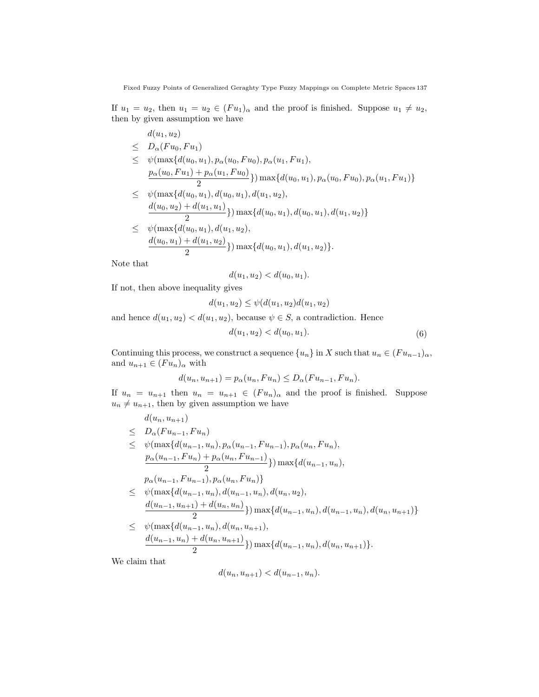If  $u_1 = u_2$ , then  $u_1 = u_2 \in (Fu_1)_{\alpha}$  and the proof is finished. Suppose  $u_1 \neq u_2$ , then by given assumption we have

$$
d(u_1, u_2)
$$
  
\n
$$
\leq D_{\alpha}(Fu_0, Fu_1)
$$
  
\n
$$
\leq D_{\alpha}(Fu_0, Fu_1)
$$
  
\n
$$
\leq \psi(\max\{d(u_0, u_1), p_{\alpha}(u_0, Fu_0), p_{\alpha}(u_1, Fu_1),
$$
  
\n
$$
\frac{p_{\alpha}(u_0, Fu_1) + p_{\alpha}(u_1, Fu_0)}{2}\}
$$
 max $\{d(u_0, u_1), p_{\alpha}(u_0, Fu_0), p_{\alpha}(u_1, Fu_1)\}$   
\n
$$
\leq \psi(\max\{d(u_0, u_1), d(u_0, u_1), d(u_1, u_2),
$$
  
\n
$$
\frac{d(u_0, u_2) + d(u_1, u_1)}{2}\}
$$
 max $\{d(u_0, u_1), d(u_0, u_1), d(u_1, u_2)\}$   
\n
$$
\leq \psi(\max\{d(u_0, u_1), d(u_1, u_2),
$$
  
\n
$$
\frac{d(u_0, u_1) + d(u_1, u_2)}{2}\}
$$
 max $\{d(u_0, u_1), d(u_1, u_2)\}$ .

Note that

$$
d(u_1, u_2) < d(u_0, u_1).
$$

If not, then above inequality gives

$$
d(u_1, u_2) \le \psi(d(u_1, u_2) d(u_1, u_2))
$$

and hence  $d(u_1, u_2) < d(u_1, u_2)$ , because  $\psi \in S$ , a contradiction. Hence

$$
d(u_1, u_2) < d(u_0, u_1). \tag{6}
$$

Continuing this process, we construct a sequence  $\{u_n\}$  in X such that  $u_n \in (Fu_{n-1})_\alpha$ , and  $u_{n+1} \in (Fu_n)_\alpha$  with

$$
d(u_n, u_{n+1}) = p_\alpha(u_n, Fu_n) \le D_\alpha(Fu_{n-1}, Fu_n).
$$

If  $u_n = u_{n+1}$  then  $u_n = u_{n+1} \in (Fu_n)_{\alpha}$  and the proof is finished. Suppose  $u_n \neq u_{n+1}$ , then by given assumption we have

$$
d(u_n, u_{n+1})
$$
  
\n
$$
\leq D_{\alpha}(Fu_{n-1}, Fu_n)
$$
  
\n
$$
\leq \psi(\max\{d(u_{n-1}, u_n), p_{\alpha}(u_{n-1}, Fu_{n-1}), p_{\alpha}(u_n, Fu_n),
$$
  
\n
$$
\frac{p_{\alpha}(u_{n-1}, Fu_n) + p_{\alpha}(u_n, Fu_{n-1})}{2}\}
$$
max $\{d(u_{n-1}, u_n),$   
\n
$$
\psi(\max\{d(u_{n-1}, u_n), d(u_{n-1}, u_n), d(u_n, u_2),
$$
  
\n
$$
\frac{d(u_{n-1}, u_{n+1}) + d(u_n, u_n)}{2}\}
$$
max $\{d(u_{n-1}, u_n), d(u_{n-1}, u_n), d(u_{n-1}, u_n), d(u_n, u_{n+1})\}$   
\n
$$
\leq \psi(\max\{d(u_{n-1}, u_n), d(u_n, u_{n+1}),
$$
  
\n
$$
\frac{d(u_{n-1}, u_n) + d(u_n, u_{n+1})}{2}\}
$$
max $\{d(u_{n-1}, u_n), d(u_n, u_{n+1})\}$ .

We claim that

$$
d(u_n, u_{n+1}) < d(u_{n-1}, u_n).
$$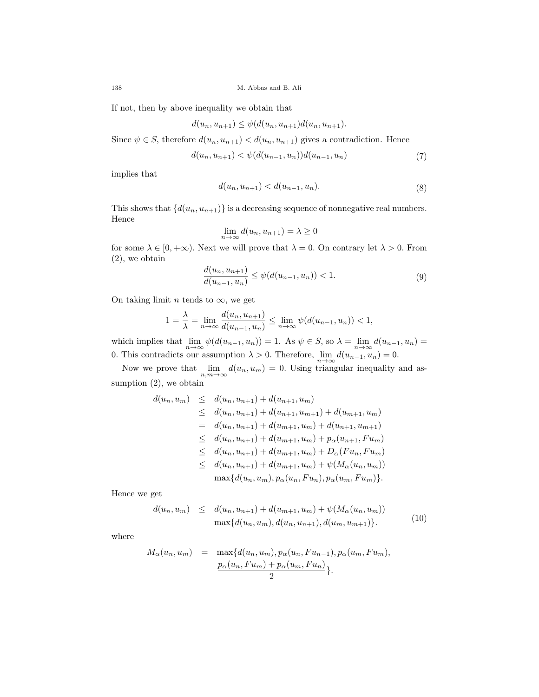If not, then by above inequality we obtain that

$$
d(u_n, u_{n+1}) \leq \psi(d(u_n, u_{n+1})d(u_n, u_{n+1}).
$$

Since  $\psi \in S$ , therefore  $d(u_n, u_{n+1}) < d(u_n, u_{n+1})$  gives a contradiction. Hence

$$
d(u_n, u_{n+1}) < \psi(d(u_{n-1}, u_n))d(u_{n-1}, u_n) \tag{7}
$$

implies that

$$
d(u_n, u_{n+1}) < d(u_{n-1}, u_n). \tag{8}
$$

This shows that  $\{d(u_n, u_{n+1})\}$  is a decreasing sequence of nonnegative real numbers. Hence

$$
\lim_{n \to \infty} d(u_n, u_{n+1}) = \lambda \ge 0
$$

for some  $\lambda \in [0, +\infty)$ . Next we will prove that  $\lambda = 0$ . On contrary let  $\lambda > 0$ . From (2), we obtain

$$
\frac{d(u_n, u_{n+1})}{d(u_{n-1}, u_n)} \le \psi(d(u_{n-1}, u_n)) < 1.
$$
\n(9)

On taking limit *n* tends to  $\infty$ , we get

$$
1 = \frac{\lambda}{\lambda} = \lim_{n \to \infty} \frac{d(u_n, u_{n+1})}{d(u_{n-1}, u_n)} \le \lim_{n \to \infty} \psi(d(u_{n-1}, u_n)) < 1,
$$

which implies that  $\lim_{n\to\infty}\psi(d(u_{n-1}, u_n)) = 1$ . As  $\psi \in S$ , so  $\lambda = \lim_{n\to\infty}d(u_{n-1}, u_n) =$ 0. This contradicts our assumption  $\lambda > 0$ . Therefore,  $\lim_{n \to \infty} d(u_{n-1}, u_n) = 0$ .

Now we prove that  $\lim_{n,m\to\infty} d(u_n, u_m) = 0$ . Using triangular inequality and assumption  $(2)$ , we obtain

$$
d(u_n, u_m) \leq d(u_n, u_{n+1}) + d(u_{n+1}, u_m)
$$
  
\n
$$
\leq d(u_n, u_{n+1}) + d(u_{n+1}, u_{m+1}) + d(u_{m+1}, u_m)
$$
  
\n
$$
= d(u_n, u_{n+1}) + d(u_{m+1}, u_m) + d(u_{n+1}, u_{m+1})
$$
  
\n
$$
\leq d(u_n, u_{n+1}) + d(u_{m+1}, u_m) + p_\alpha(u_{n+1}, Fu_m)
$$
  
\n
$$
\leq d(u_n, u_{n+1}) + d(u_{m+1}, u_m) + D_\alpha(Fu_n, Fu_m)
$$
  
\n
$$
\leq d(u_n, u_{n+1}) + d(u_{m+1}, u_m) + \psi(M_\alpha(u_n, u_m))
$$
  
\n
$$
\max\{d(u_n, u_m), p_\alpha(u_n, Fu_n), p_\alpha(u_m, Fu_m)\}.
$$

Hence we get

$$
d(u_n, u_m) \leq d(u_n, u_{n+1}) + d(u_{m+1}, u_m) + \psi(M_\alpha(u_n, u_m))
$$
  

$$
\max\{d(u_n, u_m), d(u_n, u_{n+1}), d(u_m, u_{m+1})\}.
$$
 (10)

where

$$
M_{\alpha}(u_n, u_m) = \max\{d(u_n, u_m), p_{\alpha}(u_n, Fu_{n-1}), p_{\alpha}(u_m, Fu_m),
$$
  

$$
\frac{p_{\alpha}(u_n, Fu_m) + p_{\alpha}(u_m, Fu_n)}{2}\}.
$$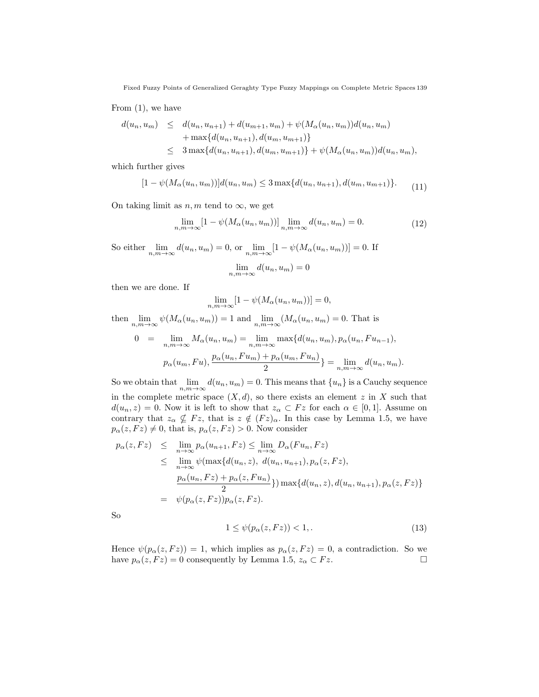Fixed Fuzzy Points of Generalized Geraghty Type Fuzzy Mappings on Complete Metric Spaces 139

From (1), we have

$$
d(u_n, u_m) \leq d(u_n, u_{n+1}) + d(u_{m+1}, u_m) + \psi(M_\alpha(u_n, u_m))d(u_n, u_m)
$$
  
+  $\max\{d(u_n, u_{n+1}), d(u_m, u_{m+1})\}$   
 $\leq 3 \max\{d(u_n, u_{n+1}), d(u_m, u_{m+1})\} + \psi(M_\alpha(u_n, u_m))d(u_n, u_m),$ 

which further gives

$$
[1 - \psi(M_{\alpha}(u_n, u_m))]d(u_n, u_m) \le 3 \max\{d(u_n, u_{n+1}), d(u_m, u_{m+1})\}.
$$
 (11)

On taking limit as  $n, m$  tend to  $\infty$ , we get

$$
\lim_{n,m \to \infty} [1 - \psi(M_\alpha(u_n, u_m))] \lim_{n,m \to \infty} d(u_n, u_m) = 0.
$$
\n(12)

So either  $\lim_{n,m\to\infty} d(u_n, u_m) = 0$ , or  $\lim_{n,m\to\infty} [1 - \psi(M_\alpha(u_n, u_m))] = 0$ . If

$$
\lim_{n,m \to \infty} d(u_n, u_m) = 0
$$

then we are done. If

$$
\lim_{n,m \to \infty} [1 - \psi(M_\alpha(u_n, u_m))] = 0,
$$

then  $\lim_{n,m\to\infty} \psi(M_\alpha(u_n, u_m)) = 1$  and  $\lim_{n,m\to\infty} (M_\alpha(u_n, u_m)) = 0$ . That is

$$
0 = \lim_{n,m \to \infty} M_{\alpha}(u_n, u_m) = \lim_{n,m \to \infty} \max \{d(u_n, u_m), p_{\alpha}(u_n, Fu_{n-1}),
$$
  

$$
p_{\alpha}(u_m, Fu), \frac{p_{\alpha}(u_n, Fu_m) + p_{\alpha}(u_m, Fu_n)}{2}\} = \lim_{n,m \to \infty} d(u_n, u_m).
$$

So we obtain that  $\lim_{n,m\to\infty} d(u_n, u_m) = 0$ . This means that  $\{u_n\}$  is a Cauchy sequence in the complete metric space  $(X, d)$ , so there exists an element z in X such that  $d(u_n, z) = 0$ . Now it is left to show that  $z_\alpha \subset Fz$  for each  $\alpha \in [0, 1]$ . Assume on contrary that  $z_{\alpha} \nsubseteq Fz$ , that is  $z \notin (Fz)_{\alpha}$ . In this case by Lemma 1.5, we have  $p_{\alpha}(z, Fz) \neq 0$ , that is,  $p_{\alpha}(z, Fz) > 0$ . Now consider

$$
p_{\alpha}(z, Fz) \leq \lim_{n \to \infty} p_{\alpha}(u_{n+1}, Fz) \leq \lim_{n \to \infty} D_{\alpha}(Fu_n, Fz)
$$
  
\n
$$
\leq \lim_{n \to \infty} \psi(\max\{d(u_n, z), d(u_n, u_{n+1}), p_{\alpha}(z, Fz),
$$
  
\n
$$
\frac{p_{\alpha}(u_n, Fz) + p_{\alpha}(z, Fu_n)}{2}\} \max\{d(u_n, z), d(u_n, u_{n+1}), p_{\alpha}(z, Fz)\}
$$
  
\n
$$
= \psi(p_{\alpha}(z, Fz))p_{\alpha}(z, Fz).
$$

So

$$
1 \le \psi(p_\alpha(z, Fz)) < 1,\tag{13}
$$

Hence  $\psi(p_{\alpha}(z, Fz)) = 1$ , which implies as  $p_{\alpha}(z, Fz) = 0$ , a contradiction. So we have  $p_{\alpha}(z, Fz) = 0$  consequently by Lemma 1.5,  $z_{\alpha} \subset Fz$ .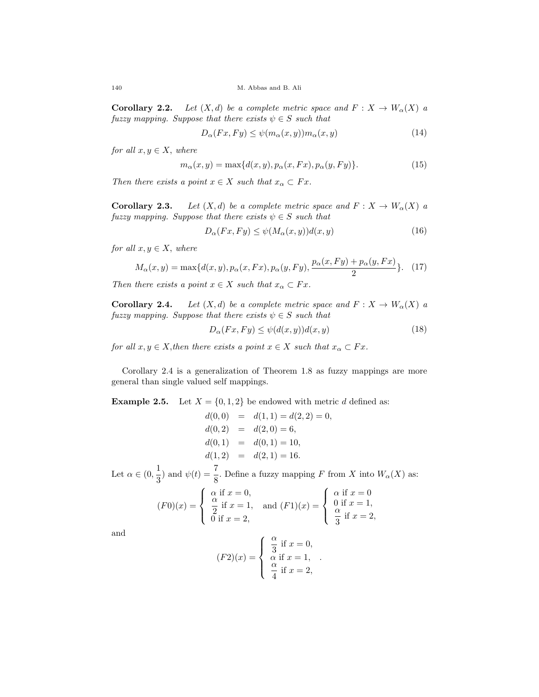**Corollary 2.2.** Let  $(X, d)$  be a complete metric space and  $F: X \to W_{\alpha}(X)$  a fuzzy mapping. Suppose that there exists  $\psi \in S$  such that

$$
D_{\alpha}(Fx, Fy) \le \psi(m_{\alpha}(x, y))m_{\alpha}(x, y) \tag{14}
$$

for all  $x, y \in X$ , where

$$
m_{\alpha}(x,y) = \max\{d(x,y), p_{\alpha}(x,Fx), p_{\alpha}(y,Fy)\}.
$$
\n(15)

Then there exists a point  $x \in X$  such that  $x_\alpha \subset Fx$ .

**Corollary 2.3.** Let  $(X,d)$  be a complete metric space and  $F: X \to W_{\alpha}(X)$  a fuzzy mapping. Suppose that there exists  $\psi \in S$  such that

$$
D_{\alpha}(Fx, Fy) \le \psi(M_{\alpha}(x, y))d(x, y) \tag{16}
$$

for all  $x, y \in X$ , where

$$
M_{\alpha}(x,y) = \max\{d(x,y), p_{\alpha}(x,Fx), p_{\alpha}(y,Fy), \frac{p_{\alpha}(x,Fy) + p_{\alpha}(y,Fx)}{2}\}.
$$
 (17)

Then there exists a point  $x \in X$  such that  $x_\alpha \subset Fx$ .

**Corollary 2.4.** Let  $(X, d)$  be a complete metric space and  $F: X \to W_{\alpha}(X)$  a fuzzy mapping. Suppose that there exists  $\psi \in S$  such that

$$
D_{\alpha}(Fx, Fy) \le \psi(d(x, y))d(x, y) \tag{18}
$$

for all  $x, y \in X$ , then there exists a point  $x \in X$  such that  $x_\alpha \subset Fx$ .

Corollary 2.4 is a generalization of Theorem 1.8 as fuzzy mappings are more general than single valued self mappings.

**Example 2.5.** Let  $X = \{0, 1, 2\}$  be endowed with metric d defined as:

$$
d(0,0) = d(1,1) = d(2,2) = 0,
$$
  
\n
$$
d(0,2) = d(2,0) = 6,
$$
  
\n
$$
d(0,1) = d(0,1) = 10,
$$
  
\n
$$
d(1,2) = d(2,1) = 16.
$$

Let  $\alpha \in (0, \frac{1}{2})$  $\frac{1}{3}$ ) and  $\psi(t) = \frac{7}{8}$ . Define a fuzzy mapping F from X into  $W_{\alpha}(X)$  as:

$$
(F0)(x) = \begin{cases} \alpha \text{ if } x = 0, \\ \frac{\alpha}{2} \text{ if } x = 1, \\ 0 \text{ if } x = 2, \end{cases} \text{ and } (F1)(x) = \begin{cases} \alpha \text{ if } x = 0 \\ 0 \text{ if } x = 1, \\ \frac{\alpha}{3} \text{ if } x = 2, \end{cases}
$$

and

$$
(F2)(x) = \begin{cases} \frac{\alpha}{3} & \text{if } x = 0, \\ \alpha & \text{if } x = 1, \\ \frac{\alpha}{4} & \text{if } x = 2, \end{cases}
$$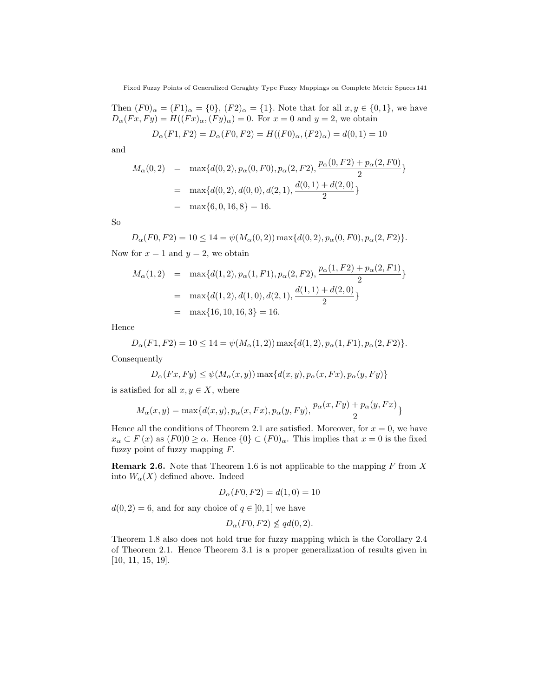Then  $(F0)_{\alpha} = (F1)_{\alpha} = \{0\}, (F2)_{\alpha} = \{1\}.$  Note that for all  $x, y \in \{0, 1\}$ , we have  $D_{\alpha}(Fx,Fy) = H((Fx)_{\alpha}, (Fy)_{\alpha}) = 0$ . For  $x = 0$  and  $y = 2$ , we obtain

$$
D_{\alpha}(F1, F2) = D_{\alpha}(F0, F2) = H((F0)_{\alpha}, (F2)_{\alpha}) = d(0, 1) = 10
$$

and

$$
M_{\alpha}(0,2) = \max\{d(0,2), p_{\alpha}(0,F0), p_{\alpha}(2,F2), \frac{p_{\alpha}(0,F2) + p_{\alpha}(2,F0)}{2}\}
$$
  
= 
$$
\max\{d(0,2), d(0,0), d(2,1), \frac{d(0,1) + d(2,0)}{2}\}
$$
  
= 
$$
\max\{6,0,16,8\} = 16.
$$

So

$$
D_{\alpha}(F0, F2) = 10 \le 14 = \psi(M_{\alpha}(0, 2)) \max\{d(0, 2), p_{\alpha}(0, F0), p_{\alpha}(2, F2)\}.
$$
  
Now for  $x = 1$  and  $y = 2$ , we obtain

$$
M_{\alpha}(1,2) = \max\{d(1,2), p_{\alpha}(1,F1), p_{\alpha}(2,F2), \frac{p_{\alpha}(1,F2) + p_{\alpha}(2,F1)}{2}\}
$$
  
= 
$$
\max\{d(1,2), d(1,0), d(2,1), \frac{d(1,1) + d(2,0)}{2}\}
$$
  
= 
$$
\max\{16, 10, 16, 3\} = 16.
$$

Hence

$$
D_{\alpha}(F1, F2) = 10 \le 14 = \psi(M_{\alpha}(1, 2)) \max\{d(1, 2), p_{\alpha}(1, F1), p_{\alpha}(2, F2)\}.
$$

Consequently

$$
D_{\alpha}(Fx, Fy) \leq \psi(M_{\alpha}(x, y)) \max\{d(x, y), p_{\alpha}(x, Fx), p_{\alpha}(y, Fy)\}\
$$

is satisfied for all  $x, y \in X$ , where

$$
M_{\alpha}(x,y) = \max\{d(x,y), p_{\alpha}(x,Fx), p_{\alpha}(y,Fy), \frac{p_{\alpha}(x,Fy) + p_{\alpha}(y,Fx)}{2}\}\
$$

Hence all the conditions of Theorem 2.1 are satisfied. Moreover, for  $x = 0$ , we have  $x_\alpha \subset F(x)$  as  $(F0)0 \ge \alpha$ . Hence  $\{0\} \subset (F0)_\alpha$ . This implies that  $x = 0$  is the fixed fuzzy point of fuzzy mapping F.

**Remark 2.6.** Note that Theorem 1.6 is not applicable to the mapping  $F$  from  $X$ into  $W_{\alpha}(X)$  defined above. Indeed

$$
D_{\alpha}(F0, F2) = d(1, 0) = 10
$$

 $d(0, 2) = 6$ , and for any choice of  $q \in [0, 1]$  we have

$$
D_{\alpha}(F0, F2) \nleq qd(0, 2).
$$

Theorem 1.8 also does not hold true for fuzzy mapping which is the Corollary 2.4 of Theorem 2.1. Hence Theorem 3.1 is a proper generalization of results given in [10, 11, 15, 19].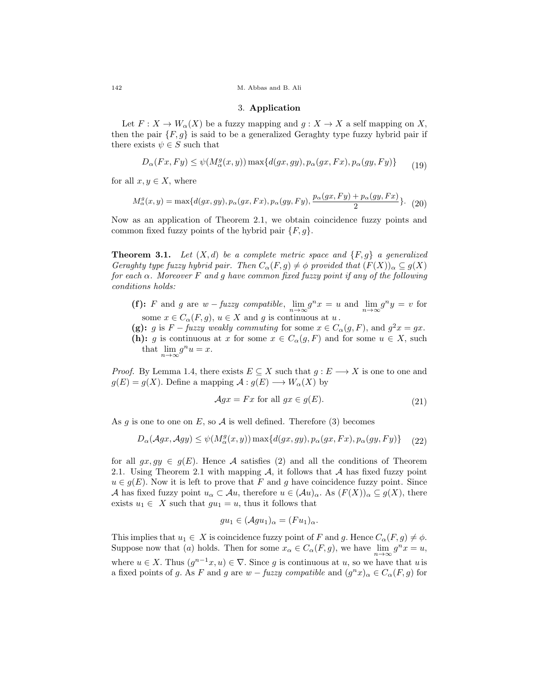#### 3. Application

Let  $F: X \to W_{\alpha}(X)$  be a fuzzy mapping and  $g: X \to X$  a self mapping on X, then the pair  $\{F, g\}$  is said to be a generalized Geraghty type fuzzy hybrid pair if there exists  $\psi \in S$  such that

$$
D_{\alpha}(Fx, Fy) \leq \psi(M_{\alpha}^{g}(x, y)) \max\{d(gx, gy), p_{\alpha}(gx, Fx), p_{\alpha}(gy, Fy)\}
$$
(19)

for all  $x, y \in X$ , where

$$
M_{\alpha}^{g}(x,y) = \max\{d(gx,gy), p_{\alpha}(gx,Fx), p_{\alpha}(gy,Fy), \frac{p_{\alpha}(gx,Fy) + p_{\alpha}(gy,Fx)}{2}\}.
$$
 (20)

Now as an application of Theorem 2.1, we obtain coincidence fuzzy points and common fixed fuzzy points of the hybrid pair  $\{F, g\}.$ 

**Theorem 3.1.** Let  $(X,d)$  be a complete metric space and  $\{F, g\}$  a generalized Geraghty type fuzzy hybrid pair. Then  $C_{\alpha}(F, g) \neq \phi$  provided that  $(F(X))_{\alpha} \subseteq g(X)$ for each  $\alpha$ . Moreover F and g have common fixed fuzzy point if any of the following conditions holds:

- (f): F and g are  $w$  fuzzy compatible,  $\lim_{n\to\infty} g^n x = u$  and  $\lim_{n\to\infty} g^n y = v$  for some  $x \in C_{\alpha}(F, g)$ ,  $u \in X$  and g is continuous at  $u$ .
- (g): g is  $F$  fuzzy weakly commuting for some  $x \in C_{\alpha}(g, F)$ , and  $g^2x = gx$ .
- (h): g is continuous at x for some  $x \in C_{\alpha}(g, F)$  and for some  $u \in X$ , such that  $\lim_{n \to \infty} g^n u = x$ .

*Proof.* By Lemma 1.4, there exists  $E \subseteq X$  such that  $g : E \longrightarrow X$  is one to one and  $g(E) = g(X)$ . Define a mapping  $\mathcal{A}: g(E) \longrightarrow W_{\alpha}(X)$  by

$$
\mathcal{A}gx = Fx \text{ for all } gx \in g(E). \tag{21}
$$

As g is one to one on E, so A is well defined. Therefore (3) becomes

$$
D_{\alpha}(\mathcal{A}gx, \mathcal{A}gy) \leq \psi(M_{\alpha}^{g}(x, y)) \max\{d(gx, gy), p_{\alpha}(gx, Fx), p_{\alpha}(gy, Fy)\} \tag{22}
$$

for all  $qx, qy \in q(E)$ . Hence A satisfies (2) and all the conditions of Theorem 2.1. Using Theorem 2.1 with mapping  $A$ , it follows that  $A$  has fixed fuzzy point  $u \in g(E)$ . Now it is left to prove that F and g have coincidence fuzzy point. Since A has fixed fuzzy point  $u_{\alpha} \subset \mathcal{A}u$ , therefore  $u \in (\mathcal{A}u)_{\alpha}$ . As  $(F(X))_{\alpha} \subseteq g(X)$ , there exists  $u_1 \in X$  such that  $gu_1 = u$ , thus it follows that

$$
gu_1 \in (\mathcal{A}gu_1)_{\alpha} = (Fu_1)_{\alpha}.
$$

This implies that  $u_1 \in X$  is coincidence fuzzy point of F and g. Hence  $C_{\alpha}(F, g) \neq \phi$ . Suppose now that (a) holds. Then for some  $x_{\alpha} \in C_{\alpha}(F, g)$ , we have  $\lim_{n \to \infty} g^n x = u$ , where  $u \in X$ . Thus  $(g^{n-1}x, u) \in \nabla$ . Since g is continuous at u, so we have that u is a fixed points of g. As F and g are  $w$  – fuzzy compatible and  $(g<sup>n</sup>x)_{\alpha} \in C_{\alpha}(F, g)$  for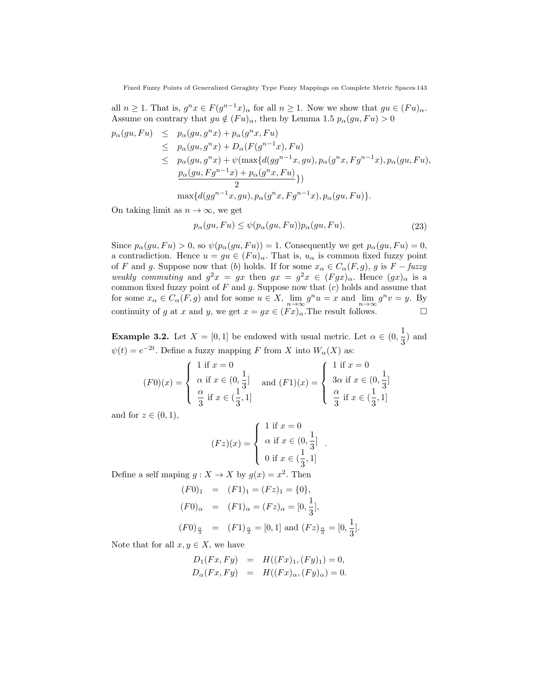all  $n \geq 1$ . That is,  $g^n x \in F(g^{n-1}x)_{\alpha}$  for all  $n \geq 1$ . Now we show that  $gu \in (Fu)_{\alpha}$ . Assume on contrary that  $gu \notin (Fu)_{\alpha}$ , then by Lemma 1.5  $p_{\alpha}(gu, Fu) > 0$ 

$$
p_{\alpha}(gu, Fu) \leq p_{\alpha}(gu, g^n x) + p_{\alpha}(g^n x, Fu)
$$
  
\n
$$
\leq p_{\alpha}(gu, g^n x) + D_{\alpha}(F(g^{n-1}x), Fu)
$$
  
\n
$$
\leq p_{\alpha}(gu, g^n x) + \psi(\max\{d(gg^{n-1}x, gu), p_{\alpha}(g^n x, Fg^{n-1}x), p_{\alpha}(gu, Fu),
$$
  
\n
$$
\frac{p_{\alpha}(gu, Fg^{n-1}x) + p_{\alpha}(g^n x, Fu)}{2}\}
$$
  
\n
$$
\max\{d(gg^{n-1}x, gu), p_{\alpha}(g^n x, Fg^{n-1}x), p_{\alpha}(gu, Fu)\}.
$$

On taking limit as  $n \to \infty$ , we get

$$
p_{\alpha}(gu, Fu) \le \psi(p_{\alpha}(gu, Fu)) p_{\alpha}(gu, Fu). \tag{23}
$$

.

Since  $p_{\alpha}(gu, Fu) > 0$ , so  $\psi(p_{\alpha}(gu, Fu)) = 1$ . Consequently we get  $p_{\alpha}(gu, Fu) = 0$ , a contradiction. Hence  $u = gu \in (Fu)_{\alpha}$ . That is,  $u_{\alpha}$  is common fixed fuzzy point of F and g. Suppose now that (b) holds. If for some  $x_{\alpha} \in C_{\alpha}(F, g)$ , g is  $F - fuzzy$ weakly commuting and  $g^2x = gx$  then  $gx = g^2x \in (Fgx)_{\alpha}$ . Hence  $(gx)_{\alpha}$  is a common fixed fuzzy point of  $F$  and  $g$ . Suppose now that  $(c)$  holds and assume that for some  $x_{\alpha} \in C_{\alpha}(F, g)$  and for some  $u \in X$ ,  $\lim_{n \to \infty} g^n u = x$  and  $\lim_{n \to \infty} g^n v = y$ . By continuity of g at x and y, we get  $x = gx \in (Fx)_{\alpha}$ . The result follows.

**Example 3.2.** Let  $X = [0, 1]$  be endowed with usual metric. Let  $\alpha \in (0, \frac{1}{2})$  $\frac{1}{3}$ ) and  $\psi(t) = e^{-2t}$ . Define a fuzzy mapping F from X into  $W_{\alpha}(X)$  as:

$$
(F0)(x) = \begin{cases} 1 \text{ if } x = 0 \\ \alpha \text{ if } x \in (0, \frac{1}{3}] \\ \frac{\alpha}{3} \text{ if } x \in (\frac{1}{3}, 1] \end{cases} \text{ and } (F1)(x) = \begin{cases} 1 \text{ if } x = 0 \\ 3\alpha \text{ if } x \in (0, \frac{1}{3}] \\ \frac{\alpha}{3} \text{ if } x \in (\frac{1}{3}, 1] \end{cases}
$$

and for  $z \in (0,1)$ ,

$$
(Fz)(x) = \begin{cases} 1 \text{ if } x = 0 \\ \alpha \text{ if } x \in \left(0, \frac{1}{3}\right] \\ 0 \text{ if } x \in \left(\frac{1}{3}, 1\right] \end{cases}
$$

Define a self maping  $g: X \to X$  by  $g(x) = x^2$ . Then

$$
(F0)_1 = (F1)_1 = (Fz)_1 = \{0\},
$$
  
\n
$$
(F0)_\alpha = (F1)_\alpha = (Fz)_\alpha = [0, \frac{1}{3}],
$$
  
\n
$$
(F0)_{\frac{\alpha}{3}} = (F1)_{\frac{\alpha}{3}} = [0, 1] \text{ and } (Fz)_{\frac{\alpha}{3}} = [0, \frac{1}{3}].
$$

Note that for all  $x, y \in X$ , we have

$$
D_1(Fx, Fy) = H((Fx)_1, (Fy)_1) = 0,
$$
  
\n
$$
D_{\alpha}(Fx, Fy) = H((Fx)_{\alpha}, (Fy)_{\alpha}) = 0.
$$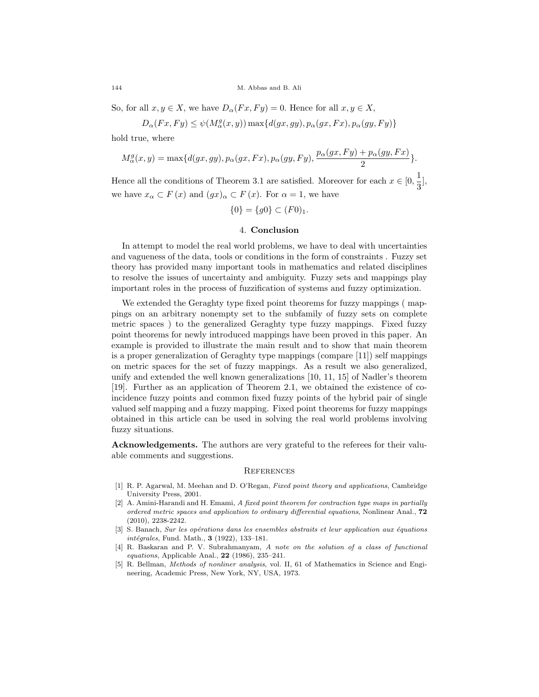So, for all  $x, y \in X$ , we have  $D_{\alpha}(Fx, Fy) = 0$ . Hence for all  $x, y \in X$ ,

$$
D_{\alpha}(Fx,Fy) \leq \psi(M_{\alpha}^{g}(x,y)) \max\{d(gx,gy), p_{\alpha}(gx,Fx), p_{\alpha}(gy,Fy)\}
$$

hold true, where

$$
M^g_\alpha(x,y)=\max\{d(gx,gy),p_\alpha(gx,Fx),p_\alpha(gy,Fy),\frac{p_\alpha(gx,Fy)+p_\alpha(gy,Fx)}{2}\}.
$$

Hence all the conditions of Theorem 3.1 are satisfied. Moreover for each  $x \in [0, \frac{1}{2}]$  $\frac{1}{3}$ ], we have  $x_{\alpha} \subset F(x)$  and  $(gx)_{\alpha} \subset F(x)$ . For  $\alpha = 1$ , we have

$$
\{0\} = \{g0\} \subset (F0)_1.
$$

### 4. Conclusion

In attempt to model the real world problems, we have to deal with uncertainties and vagueness of the data, tools or conditions in the form of constraints . Fuzzy set theory has provided many important tools in mathematics and related disciplines to resolve the issues of uncertainty and ambiguity. Fuzzy sets and mappings play important roles in the process of fuzzification of systems and fuzzy optimization.

We extended the Geraghty type fixed point theorems for fuzzy mappings ( mappings on an arbitrary nonempty set to the subfamily of fuzzy sets on complete metric spaces ) to the generalized Geraghty type fuzzy mappings. Fixed fuzzy point theorems for newly introduced mappings have been proved in this paper. An example is provided to illustrate the main result and to show that main theorem is a proper generalization of Geraghty type mappings (compare [11]) self mappings on metric spaces for the set of fuzzy mappings. As a result we also generalized, unify and extended the well known generalizations [10, 11, 15] of Nadler's theorem [19]. Further as an application of Theorem 2.1, we obtained the existence of coincidence fuzzy points and common fixed fuzzy points of the hybrid pair of single valued self mapping and a fuzzy mapping. Fixed point theorems for fuzzy mappings obtained in this article can be used in solving the real world problems involving fuzzy situations.

Acknowledgements. The authors are very grateful to the referees for their valuable comments and suggestions.

#### **REFERENCES**

- [1] R. P. Agarwal, M. Meehan and D. O'Regan, Fixed point theory and applications, Cambridge University Press, 2001.
- [2] A. Amini-Harandi and H. Emami, A fixed point theorem for contraction type maps in partially ordered metric spaces and application to ordinary differential equations, Nonlinear Anal., 72 (2010), 2238-2242.
- [3] S. Banach, Sur les opérations dans les ensembles abstraits et leur application aux équations intégrales, Fund. Math., 3 (1922), 133-181.
- [4] R. Baskaran and P. V. Subrahmanyam, A note on the solution of a class of functional equations, Applicable Anal., 22 (1986), 235–241.
- [5] R. Bellman, Methods of nonliner analysis, vol. II, 61 of Mathematics in Science and Engineering, Academic Press, New York, NY, USA, 1973.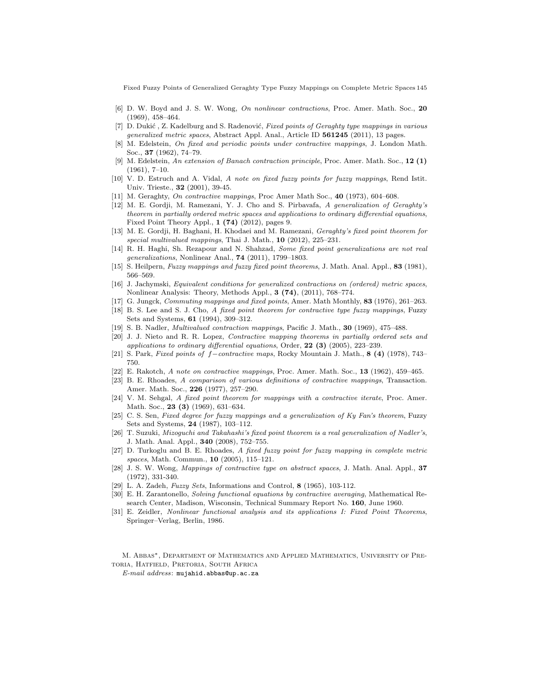Fixed Fuzzy Points of Generalized Geraghty Type Fuzzy Mappings on Complete Metric Spaces 145

- [6] D. W. Boyd and J. S. W. Wong, On nonlinear contractions, Proc. Amer. Math. Soc., 20 (1969), 458–464.
- [7] D. Dukić, Z. Kadelburg and S. Radenović, Fixed points of Geraghty type mappings in various generalized metric spaces, Abstract Appl. Anal., Article ID 561245 (2011), 13 pages.
- [8] M. Edelstein, On fixed and periodic points under contractive mappings, J. London Math. Soc., 37 (1962), 74–79.
- [9] M. Edelstein, An extension of Banach contraction principle, Proc. Amer. Math. Soc., 12 (1) (1961), 7–10.
- [10] V. D. Estruch and A. Vidal, A note on fixed fuzzy points for fuzzy mappings, Rend Istit. Univ. Trieste., 32 (2001), 39-45.
- [11] M. Geraghty, On contractive mappings, Proc Amer Math Soc., 40 (1973), 604–608.
- [12] M. E. Gordji, M. Ramezani, Y. J. Cho and S. Pirbavafa, A generalization of Geraghty's theorem in partially ordered metric spaces and applications to ordinary differential equations, Fixed Point Theory Appl., 1 (74) (2012), pages 9.
- [13] M. E. Gordji, H. Baghani, H. Khodaei and M. Ramezani, Geraghty's fixed point theorem for special multivalued mappings, Thai J. Math.,  $10$  (2012), 225-231.
- [14] R. H. Haghi, Sh. Rezapour and N. Shahzad, Some fixed point generalizations are not real generalizations, Nonlinear Anal., 74 (2011), 1799–1803.
- [15] S. Heilpern, Fuzzy mappings and fuzzy fixed point theorems, J. Math. Anal. Appl., 83 (1981), 566–569.
- [16] J. Jachymski, Equivalent conditions for generalized contractions on (ordered) metric spaces, Nonlinear Analysis: Theory, Methods Appl., 3 (74), (2011), 768–774.
- [17] G. Jungck, *Commuting mappings and fixed points*, Amer. Math Monthly, 83 (1976), 261–263.
- [18] B. S. Lee and S. J. Cho, A fixed point theorem for contractive type fuzzy mappings, Fuzzy Sets and Systems, 61 (1994), 309–312.
- [19] S. B. Nadler, Multivalued contraction mappings, Pacific J. Math., 30 (1969), 475–488.
- [20] J. J. Nieto and R. R. Lopez, Contractive mapping theorems in partially ordered sets and applications to ordinary differential equations, Order,  $22$  (3) (2005), 223–239.
- [21] S. Park, Fixed points of f−contractive maps, Rocky Mountain J. Math., 8 (4) (1978), 743– 750.
- [22] E. Rakotch, A note on contractive mappings, Proc. Amer. Math. Soc., 13 (1962), 459–465.
- [23] B. E. Rhoades, A comparison of various definitions of contractive mappings, Transaction. Amer. Math. Soc., 226 (1977), 257–290.
- [24] V. M. Sehgal, A fixed point theorem for mappings with a contractive iterate, Proc. Amer. Math. Soc., **23 (3)** (1969), 631-634.
- [25] C. S. Sen, Fixed degree for fuzzy mappings and a generalization of Ky Fan's theorem, Fuzzy Sets and Systems, 24 (1987), 103–112.
- [26] T. Suzuki, Mizoguchi and Takahashi's fixed point theorem is a real generalization of Nadler's, J. Math. Anal. Appl., 340 (2008), 752–755.
- [27] D. Turkoglu and B. E. Rhoades, A fixed fuzzy point for fuzzy mapping in complete metric spaces, Math. Commun., **10** (2005), 115-121.
- [28] J. S. W. Wong, Mappings of contractive type on abstract spaces, J. Math. Anal. Appl., 37 (1972), 331-340.
- [29] L. A. Zadeh, Fuzzy Sets, Informations and Control, 8 (1965), 103-112.
- [30] E. H. Zarantonello, Solving functional equations by contractive averaging, Mathematical Research Center, Madison, Wisconsin, Technical Summary Report No. 160, June 1960.
- [31] E. Zeidler, Nonlinear functional analysis and its applications I: Fixed Point Theorems, Springer–Verlag, Berlin, 1986.

M. Abbas∗, Department of Mathematics and Applied Mathematics, University of Pretoria, Hatfield, Pretoria, South Africa

E-mail address: mujahid.abbas@up.ac.za